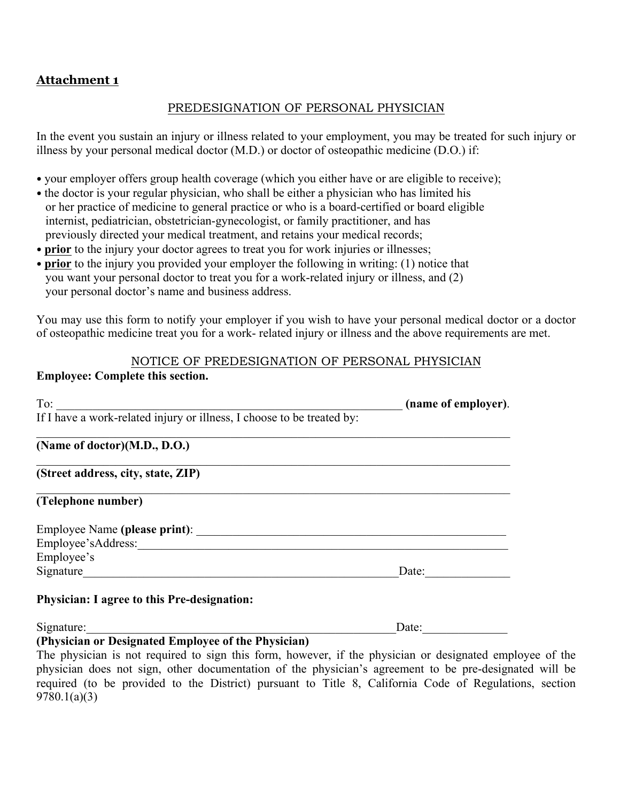# **Attachment 1**

## PREDESIGNATION OF PERSONAL PHYSICIAN

In the event you sustain an injury or illness related to your employment, you may be treated for such injury or illness by your personal medical doctor (M.D.) or doctor of osteopathic medicine (D.O.) if:

- your employer offers group health coverage (which you either have or are eligible to receive);
- the doctor is your regular physician, who shall be either a physician who has limited his or her practice of medicine to general practice or who is a board-certified or board eligible internist, pediatrician, obstetrician-gynecologist, or family practitioner, and has previously directed your medical treatment, and retains your medical records;
- **prior** to the injury your doctor agrees to treat you for work injuries or illnesses;
- **prior** to the injury you provided your employer the following in writing: (1) notice that you want your personal doctor to treat you for a work-related injury or illness, and (2) your personal doctor's name and business address.

You may use this form to notify your employer if you wish to have your personal medical doctor or a doctor of osteopathic medicine treat you for a work- related injury or illness and the above requirements are met.

#### NOTICE OF PREDESIGNATION OF PERSONAL PHYSICIAN

## **Employee: Complete this section.**

| To:                                                                    | (name of employer). |
|------------------------------------------------------------------------|---------------------|
| If I have a work-related injury or illness, I choose to be treated by: |                     |
| (Name of doctor)(M.D., D.O.)                                           |                     |
| (Street address, city, state, ZIP)                                     |                     |
| (Telephone number)                                                     |                     |
| Employee Name (please print):                                          |                     |
| Employee'sAddress:                                                     |                     |
| Employee's                                                             |                     |
| Signature                                                              | Date:               |

Signature:\_\_\_\_\_\_\_\_\_\_\_\_\_\_\_\_\_\_\_\_\_\_\_\_\_\_\_\_\_\_\_\_\_\_\_\_\_\_\_\_\_\_\_\_\_\_\_\_\_\_\_Date:\_\_\_\_\_\_\_\_\_\_\_\_\_\_

#### **(Physician or Designated Employee of the Physician)**

The physician is not required to sign this form, however, if the physician or designated employee of the physician does not sign, other documentation of the physician's agreement to be pre-designated will be required (to be provided to the District) pursuant to Title 8, California Code of Regulations, section 9780.1(a)(3)